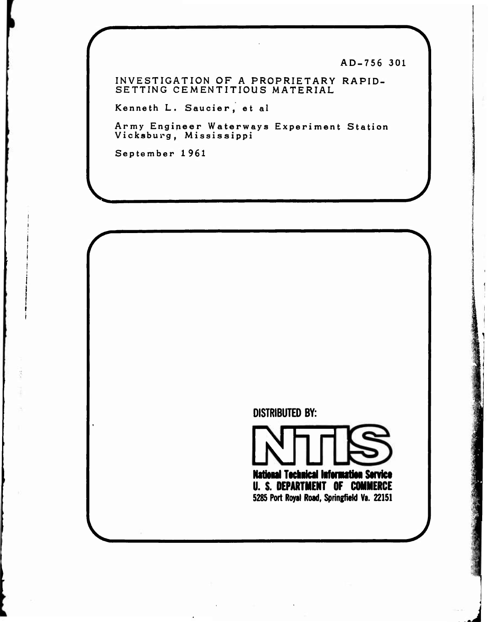**AD-756 301**

**INVESTIGATION OF A PROPRIETARY RAPID-SETTING CEMENTITIOUS MATERIAL**

**Kenneth L. Saucier, et al**

**Army Engineer Waterways Experiment Station Vicksburg, Mississippi**

**September 1961**

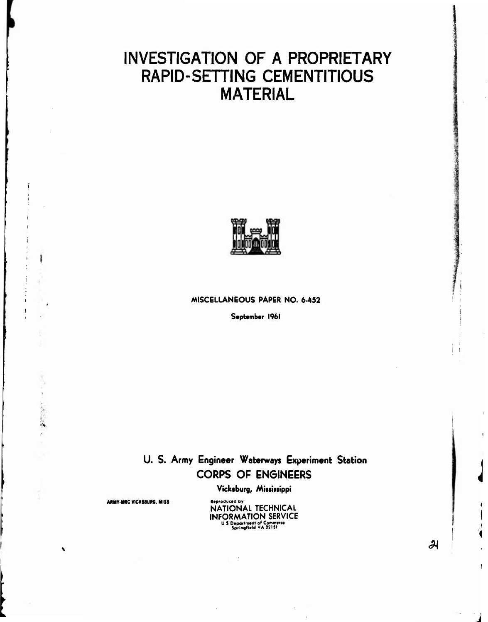# **INVESTIGATION OF A PROPRIETARY RAPID-SETTING CEMENTITIOUS MATERIAL**



## **MISCELLANEOUS PAPER NO. 6-452**

**September 196!**

# **U. S. Army Engineer Waterways Experiment Stati ion CORPS OF ENGINEERS**

**Vicktburg, Mitiiitippi**

**ARMY-MRC VICKSBURG, MISS. Manufactured by** 

**;**

**NATIONAL TECHNICAL INFORMATION SERVICE U S Dtportnitnt of Commtrc« Sprlngli«ldVA»lt1**

**^**

**I I**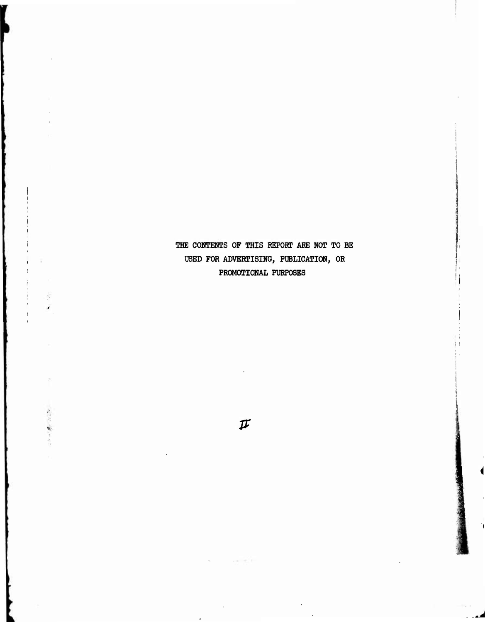**THE COKTEHTS OF THIS REPORT ABE NOT TO BE USED FOR ADVERTISING, PUBLICATION, OR PROMOTIONAL PURPOSES**

**I i**

**f**

 $\label{eq:2.1} \nabla^2 \omega^2 \frac{\partial \overline{\partial}}{\partial \overline{\partial}} f \cdot \overline{\partial} \overline{\partial} \omega \overline{\partial} \overline{\partial} \overline{\partial}$ 

 $\boldsymbol{\pi}$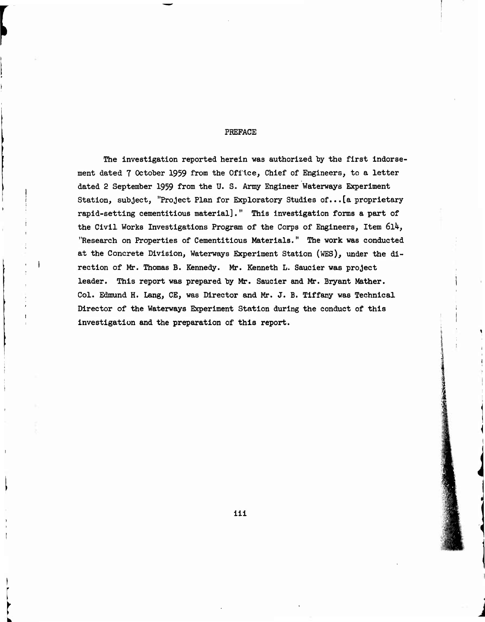### PREFACE

The investigation reported herein was authorized by the first indorsement dated 7 October 1959 from the Office, Chief of Engineers, to a letter dated 2 September 1959 from the U. S. Army Engineer Waterways Experiment Station, subject, "Project Plan for Exploratory Studies of...[a proprietary rapid-setting cementitious material]." This investigation forms a part of the Civil Works Investigations Program of the Corps of Engineers, Item 6l4, "Research on Properties of Cementitious Materials." The work was conducted at the Concrete Division, Waterways Experiment Station (WES), under the direction of Mr. Thomas B. Kennedy. Mr. Kenneth L. Saucier was project leader. This report was prepared by Mr. Saucier and Mr. Bryant Mather. Col. Edmund H. Lang, CE, was Director and Mr. J. B. Tiffany was Technical Director of the Waterways Experiment Station during the conduct of this investigation and the preparation of this report.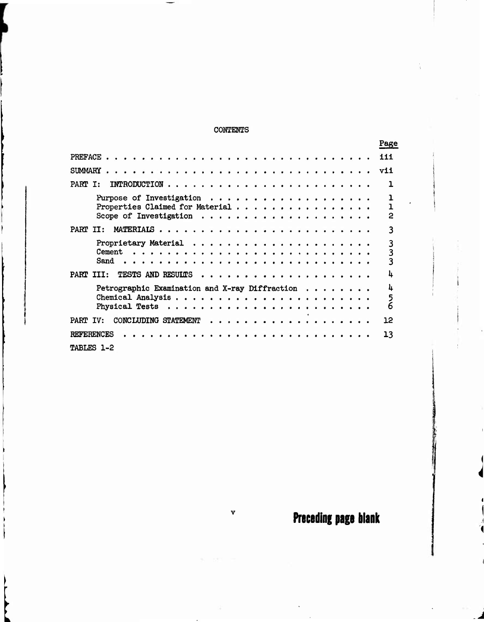# CONTENTS

|                   |      |                                                                  |  |  |  |  |  |  |  |  |  |  |  |  |  |  | Page               |
|-------------------|------|------------------------------------------------------------------|--|--|--|--|--|--|--|--|--|--|--|--|--|--|--------------------|
|                   |      |                                                                  |  |  |  |  |  |  |  |  |  |  |  |  |  |  | 111                |
| <b>SUMMARY</b>    |      |                                                                  |  |  |  |  |  |  |  |  |  |  |  |  |  |  | vii                |
| PART I:           |      |                                                                  |  |  |  |  |  |  |  |  |  |  |  |  |  |  |                    |
|                   |      | Properties Claimed for Material                                  |  |  |  |  |  |  |  |  |  |  |  |  |  |  | 2                  |
| PART II:          |      |                                                                  |  |  |  |  |  |  |  |  |  |  |  |  |  |  | 3                  |
|                   | Sand | Proprietary Material $\ldots \ldots \ldots \ldots \ldots \ldots$ |  |  |  |  |  |  |  |  |  |  |  |  |  |  | 3<br>3<br>3        |
| PART III:         |      | TESTS AND RESULTS $\cdots \cdots \cdots \cdots$                  |  |  |  |  |  |  |  |  |  |  |  |  |  |  | h                  |
|                   |      | Petrographic Examination and X-ray Diffraction $\cdots \cdots$   |  |  |  |  |  |  |  |  |  |  |  |  |  |  | 4<br>$\frac{5}{6}$ |
| PART IV:          |      | CONCLUDING STATEMENT                                             |  |  |  |  |  |  |  |  |  |  |  |  |  |  | 12                 |
| <b>REFERENCES</b> |      |                                                                  |  |  |  |  |  |  |  |  |  |  |  |  |  |  | 13                 |
| TABLES 1-2        |      |                                                                  |  |  |  |  |  |  |  |  |  |  |  |  |  |  |                    |

 $\mathbf v$ 

Preceding **page** blank

*i*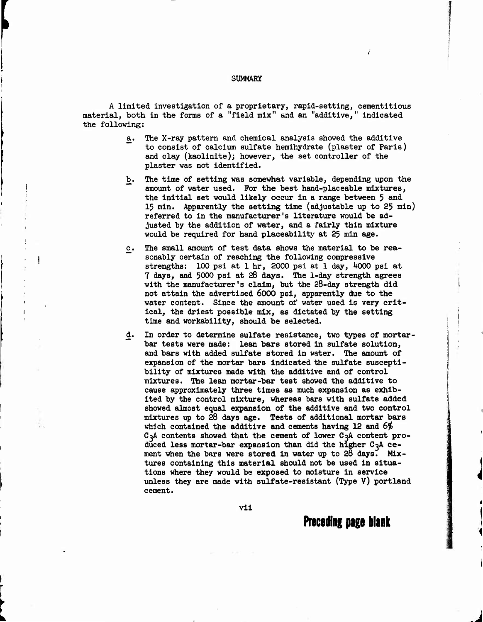#### **SUMMARY**

**f**

**1**

**A limited investigation of a proprietary, rapid-setting, cementitious material, both in the forms of a "field mix" and an "additive," indicated the following:**

- **a. The X-ray pattern and chemical analysis showed the additive to consist of calcium sulfate hemihydrate (plaster of Paris) and clay (kaolinite); however, the set controller of the plaster was not identified.**
- **b. The time of setting was somewhat variable, depending upon the amount of water used. For the best hand-placeable mixtures, the initial set would likely occur in a range between 5 and 15 min. Apparently the setting time (adjustable up to 25 min) referred to in the manufacturer's literature would be adjusted by the addition of water, and a fairly thin mixture would be required for hand placeability at 25 min age.**
- **£. The small amount of test data shows the material to be reasonably certain of reaching the following corapressive strengths: 100 psi at 1 hr, 2000 psi at 1 day, ^000 psi at 7 days, and 5000 psi at 28 days. The 1-day strength agrees with the manufacturer's claim, but the 28-day strength did not attain the advertised 6000 psi, apparently due to the water content. Since the amount of water used is very critical, the driest possible mix, as dictated by the setting time and workability, should be selected.**
- **d. In order to determine sulfate resistance, two types of mortarbar tests were made: lean bars stored in sulfate solution, and bars with added sulfate stored In water. The amount of expansion of the mortar bars Indicated the sulfate susceptibility of mixtures made with the additive and of control mixtures. The lean mortar-bar test showed the additive to cause approximately three times as much expansion as exhibited by the control mixture, whereas bars with sulfate added showed almost equal expansion of the additive and two control mixtures up to 26 days age. Tests of additional mortar bars which contained the additive and cements having 12 and 6^**  $C_3A$  contents showed that the cement of lower  $C_3A$  content pro**duced less mortar-bar expansion than did the higher C3A cement when the bars were stored in water up to 28 days. Mixtures containing this material should not be used in situations where they would be exposed to moisture in service unless they are made with sulfate-resistant (Type V) portland cement.**

**vil**

**Preceding page blank**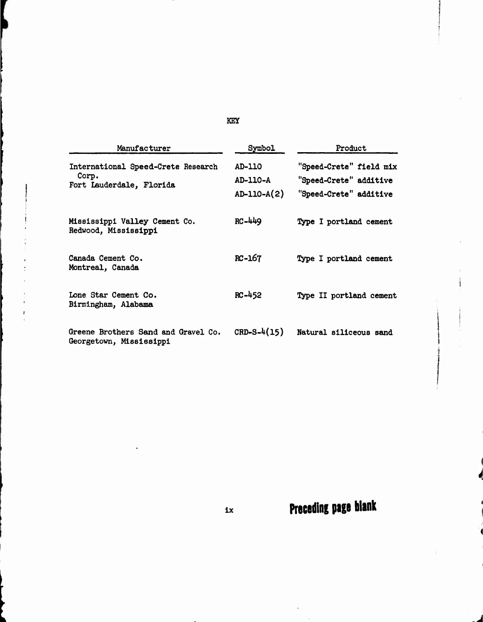| Manufacturer                                                            | Symbol                                | Product                                                                     |
|-------------------------------------------------------------------------|---------------------------------------|-----------------------------------------------------------------------------|
| International Speed-Crete Research<br>Corp.<br>Fort Lauderdale, Florida | AD-110<br>$AD-110-A$<br>$AD-110-A(2)$ | "Speed-Crete" field mix<br>"Speed-Crete" additive<br>"Speed-Crete" additive |
| Mississippi Valley Cement Co.<br>Redwood, Mississippi                   | RC-449                                | Type I portland cement                                                      |
| Canada Cement Co.<br>Montreal, Canada                                   | $RC-167$                              | Type I portland cement                                                      |
| Lone Star Cement Co.<br>Birmingham, Alabama                             | $RC - 452$                            | Type II portland cement                                                     |
| Greene Brothers Sand and Gravel Co.<br>Georgetown, Mississippi          | $CRD-S-4(15)$                         | Natural siliceous sand                                                      |

**KEY**

**ix Preceding page blank**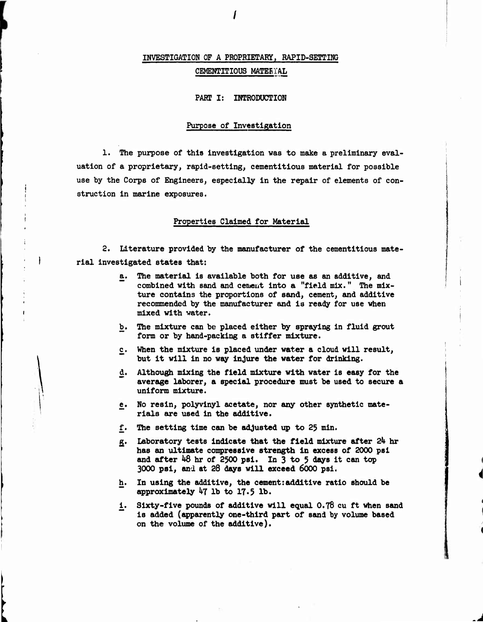# **INVESTIGATION OF A PROPRIETARY, RAPID-SETTIMG CEMENTITIOUS MATEEl'AL**

### **PART I: INTRODUCTION**

#### **Purpose of Investigation**

**1. The purpose of this Investigation was to make a preliminary evaluation of a proprietary, rapid-setting, cementltlous material for possible use by the Corps of Engineers, especially In the repair of elements of construction in marine exposures.**

#### **Properties Claimed for Material**

**2. Literature provided by the manufacturer of the cementltlous material investigated states that:**

- **a. The materled is available both for use as an additive, and combined with sand and cement Into a "field mix." The mixture contains the proportions of sand, cement, and additive recommended by the manufacturer and Is ready for use when mixed with water.**
- **b. The mixture can be placed either by spraying in fluid grout form or by hand-packing a stiffer mixture.**
- **c. When the mixture is placed under water a cloud will result, but It will In no way injure the water for drinking.**
- **d. Although mixing the field mixture with water is easy for the average laborer, a special procedure must be used to secure a uniform mixture.**
- **e. No resin, polyvinyl acetate, nor any other synthetic materials are used in the additive.**
- **f. The setting time can be adjusted up to 25 min.**
- **£. Laboratory tests Indicate that the field mixture after** *2k* **hr has an ultimate compressive strength In excess of 2000 psl and after Ud hr of 2500 psl. In 3 to 5 days it can top 3000 psl, and at 28 days will exceed 6000 psl.**
- **h. In using the additive, the cement: additive ratio should be approximately 47 lb to 17.5 lb.**
- **i^ Sixty-five pounds of additive will equal 0.78 cu ft when sand is added (apparently one-third part of sand by volume based on the volume of the additive).**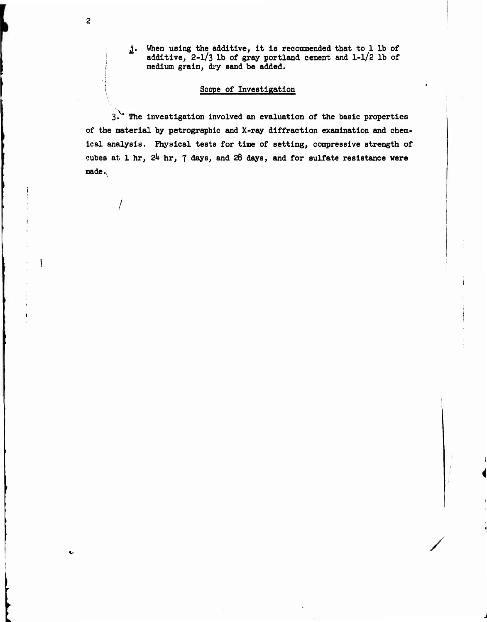**When using the additive, It Is recommended that to 1 lb of additive, 2-l/3 lb of gray portland cement and 1-1/2 lb of medium grain, dry sand be added.**

# **Scope of Investigation**

**I**

 $\overline{c}$ 

,\. **3. The Investigation Involved an evaluation of the basic properties of the material by petrograpblc and X-ray diffraction examination and chemical analysis. Physical tests for time of setting, compressive strength of cubes at 1 hr,** *2k* **hr, 7 days, and 28 days, and for sulfate resistance were made.,**

**/**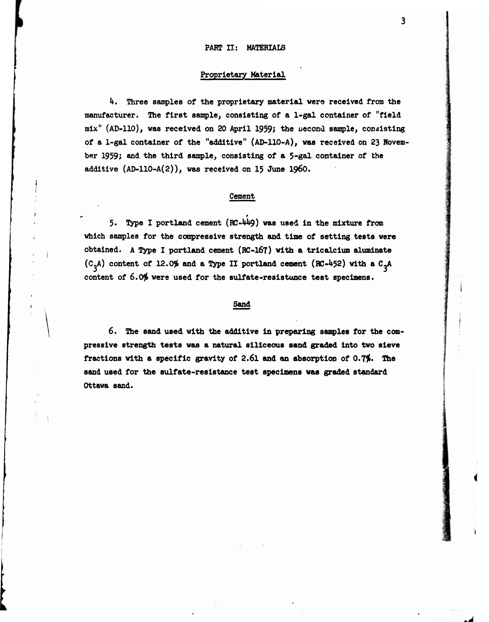*\*

#### **Proprietary Material**

*k.* **Three samples of the proprietary material were received from the manufacturer. The first sample, consisting of a 1-gal container of "field mix" (AD-110), was received on 20 April 1959; the uecond sample, consisting of a 1-gal container of the "additive" (AD-110-A), was received on 23 November 1959; and the third sample, consisting of a 5-gal container of the additive (AD-110-A(2)), was received on 15 June i960.**

### **Cement**

**5« Type I portland cement (RC-W\*9) was used in the mixture from which samples for the compresslve strength and time of setting tests were obtained. <sup>A</sup> Type I portland cement (RC-I67) with a trlcalclum alumlnate**  $(C_3A)$  content of 12.0% and a Type II portland cement  $(RC-452)$  with a  $C_3A$ **content of 6.0^ were used for the sulfate-reslstunce test specimens.**

#### **Sand**

**6. The sand used with the additive in preparing samples for the compresslve strength tests was a natural siliceous sand graded into two sieve fractions with a specific gravity of 2.6l and an absorption of 0.7^. The sand used for the sulfate-resistance test specimens was graded standard Ottawa sand.**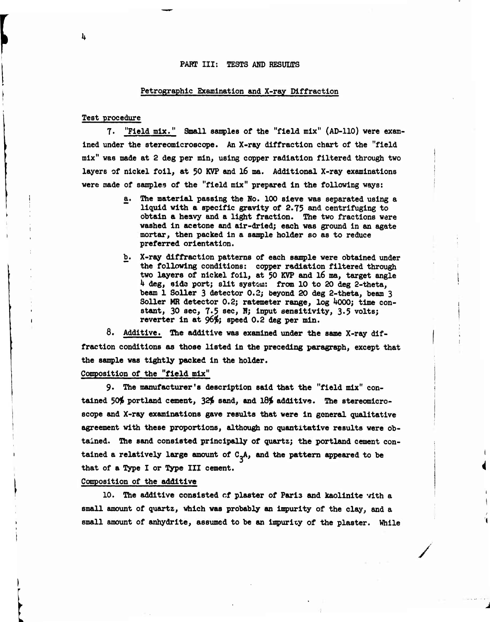#### **PART III: TESTS AND RESUI/TS**

#### **Petrographlc Examination and X-ray Diffraction**

#### **Test procedure**

**7. "Field mix." Small samples of the "field mix" (AD-110) were examined under the stereomlcroscppe. An X-ray diffraction chart of the "field mix" was made at 2 deg per min, using copper radiation filtered through two layers of nickel foil, at 50 KVP and 16 ma. Additional X-ray examinations were made of samples of the "field mix" prepared in the following ways:**

- **a. The material passing the No. 100 sieve was separated using a liquid with a specific gravity of 2.75 and centrifuging to obtain a heavy and a light fraction. The two fractions were washed in acetone and air-dried; each was ground In an agate mortar, then packed in a sample holder so as to reduce preferred orientation.**
- **b. X-ray diffraction patterns of each sample were obtained under the following conditions: copper radiation filtered through two layers of nickel foil, at 50 KVP and l6 ma, target angle** *h* **deg, sida port; slit systc-m: from 10 to 20 deg 2-theta, beam 1 Soller 3 detector 0.2; beyond 20 deg 2-theta, beam 3 Soller MR detector 0.2; ratemeter range, log 4000; time constant, 30 sec, 7\*5 sec, N; input sensitivity, 3.5 volts; reverter in at 96\$; speed 0.2 deg per min.**

**8. Additive. The additive was examined under the same X-ray diffraction conditions** *aa* **those listed in the preceding paragraph, except that the sample was tightly packed in the holder.**

# **Composition of the "field mix"**

**9. The manufacturer's description said that the "field mix" contained** *50\$* **portland cement, 32\$ sand, and 18\$ additive.** *The* **stereomlcroscppe and X-ray examinations gave results that were in general qualitative agreement with these proportions, although no quantitative results were obtained.** *The* **sand consisted principally of quartz; the portland cement contained a relatively large amount of C-A, and the pattern appeared to be that of a Type I or Type III cement.**

#### **Composition of the additive**

**10. The additive consisted cf plaster of Paris and kaolinite with a small amount of quartz, which was probably an impurity of the clay, and a small amount of anhydrite, assumed to be an irnpuricy of the plaster. While**

**/**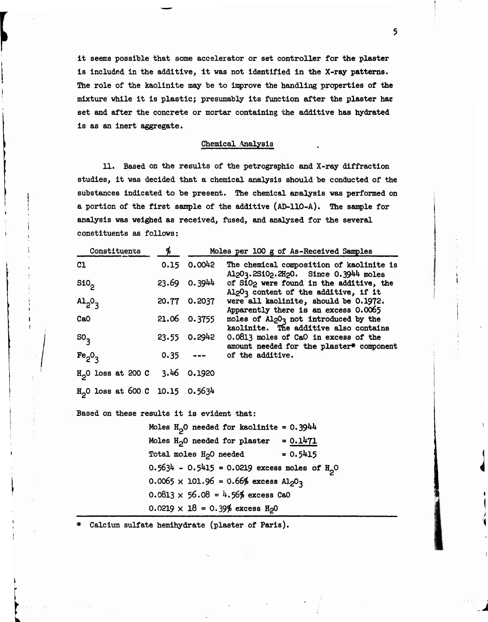it seems possible that some accelerator or set controller for the plaster Is Included In the additive. It was not Identified in the X-ray patterns. The role of the kaolinite may be to improve the handling properties of the mixture while it Is plastic; presumably its function after the plaster hae set and after the concrete or mortar containing the additive has hydrated is as an Inert aggregate.

#### Chemical Analysis

11. Based on the results of the petrographic and X-ray diffraction studies, it was decided that a chemical analysis should be conducted of the substances indicated to be present. The chemical analysis was performed on a portion of the first sample of the additive (AD-llO-A). The sample for analysis was weighed as received, fused, and analyzed for the severed constituents as follows:

| Constituents                               | Ъ |                 | Moles per 100 g of As-Received Samples                                                                                               |
|--------------------------------------------|---|-----------------|--------------------------------------------------------------------------------------------------------------------------------------|
| C1                                         |   | $0.15$ $0.0042$ | The chemical composition of kaolinite is<br>Al <sub>2</sub> 0 <sub>3</sub> .2Si0 <sub>2</sub> .2H <sub>2</sub> 0. Since 0.3944 moles |
| S10 <sub>2</sub>                           |   | 23.69 0.3944    | of SiO <sub>2</sub> were found in the additive, the<br>Al <sub>2</sub> 0 <sub>3</sub> content of the additive, if it                 |
| $A1_{2}O_3$                                |   | 20.77 0.2037    | were all kaolinite, should be 0.1972.<br>Apparently there is an excess 0.0065                                                        |
| CaO                                        |   | 21.06 0.3755    | moles of Al <sub>2</sub> 0 <sub>3</sub> not introduced by the<br>kaolinite. The additive also contains                               |
| ${50}$ <sub>3</sub>                        |   | 23.55 0.2942    | 0.0813 moles of CaO in excess of the<br>amount needed for the plaster* component                                                     |
| Fe <sub>2</sub> O <sub>3</sub>             |   |                 | $0.35$ --- of the additive.                                                                                                          |
| $H_2$ 0 loss at 200 C 3.46 0.1920          |   |                 |                                                                                                                                      |
| $H_2$ O loss at 600 C 10.15 0.5634         |   |                 |                                                                                                                                      |
| Based on these results it is evident that: |   |                 |                                                                                                                                      |
|                                            |   |                 | Moles $H_0$ O needed for kaolinite = 0.3944                                                                                          |
|                                            |   |                 | Moles $H_2O$ needed for plaster = $0.1471$                                                                                           |
|                                            |   |                 | Total moles $H_2O$ needed = $0.5415$                                                                                                 |
|                                            |   |                 | $0.5634 - 0.5415 = 0.0219$ excess moles of $H_0$ <sup>O</sup>                                                                        |
|                                            |   |                 | $0.0065 \times 101.96 = 0.66\%$ excess Al <sub>2</sub> O <sub>3</sub>                                                                |

 $0.0813 \times 56.08 = 4.56\%$  excess CaO

 $0.0219 \times 18 = 0.39\%$  excess H<sub>2</sub>0

Calcium sulfate hemihydrate (plaster of Paris).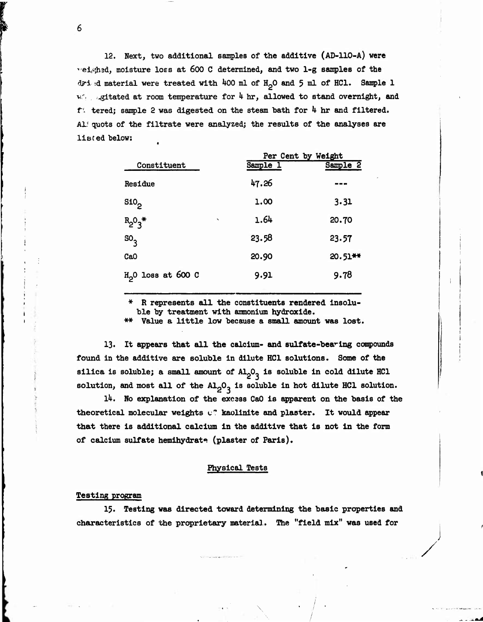**12. Next, two additional samples of the additive (AD-llO-A) were '"ei,«5b9ä, moisture loss at 600 <sup>C</sup> determined, and two 1-g samples of the clyi sd material were treated with** *kOO* **ml of lUO and <sup>5</sup> ml of HC1. Sample 1 v'. .^itated at room temperature for** *k* **hr, allowed to stand overnight, and** *ti* **tered; sample <sup>2</sup> was digested on the steam bath for** *<sup>h</sup>* **hr and filtered. Al/ quots of the filtrate were analyzed; the results of the analyses are listed below: «**

|                     |              | Per Cent by Weight |            |  |  |  |  |
|---------------------|--------------|--------------------|------------|--|--|--|--|
| Constituent         |              | Sample 1           | Sample 2   |  |  |  |  |
| Residue             |              | 47.26              | . .        |  |  |  |  |
| SiO <sub>2</sub>    |              | 1.00               | 3.31       |  |  |  |  |
| $R_2O_3$ *          | $\checkmark$ | 1.64               | 20.70      |  |  |  |  |
| $SO_{3}$            |              | 23.58              | 23.57      |  |  |  |  |
| Ca <sub>O</sub>     |              | 20.90              | $20.51$ ** |  |  |  |  |
| $H20$ loss at 600 C |              | 9.91               | 9.78       |  |  |  |  |

**\* <sup>R</sup> represents all the constituents rendered insoluble by treatment with ammonium hydroxide.**

**\*\* Value <sup>a</sup> little low because <sup>a</sup> small amount was lost.**

**13. It appears that all the calcium- and sulfate-bea^ing compounds found in the additive are soluble in dilute HC1 solutions. Some of the silica is soluble; a small amount of AIJ)« is soluble in cold dilute HC1 solution, and most all of the AlpO- is soluble in hot dilute HC1 solution.**

*Ik.* **No explanation of the excass CaO is apparent on the basis of the theoretical molecular weights c? kaolinite and plaster. It would appear that there is additional calcium In the additive that is not in the form of calcium sulfate hemihydrate (plaster of Paris).**

# **Physical Tests**

#### **Testing program**

**l^. Testing was directed toward determining the basic properties and characteristics of the proprietary material.. The "field mix" was used for**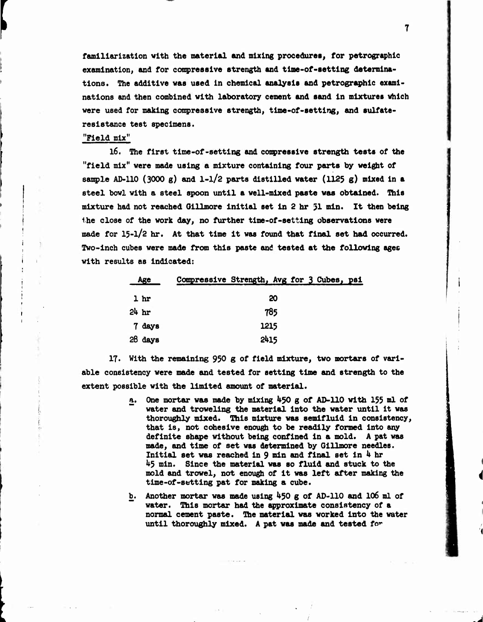**familiarization with the material and mixing procedures, for petrographlc examination, and for compreaalve strength and tlme-of-setting determinations. The additive was used In chemical analysis and petrographlc examinations and then combined with laboratory cement and sand In mixtures which were used for making compresslve strength, tlme-of-settlng, and sulfatereslstance test specimens.**

 $\mathbf 7$ 

# **"Field mix"**

**f**

**I <sup>I</sup>**

**l6. The first time-of-setting and conpresslve strength tests of the "field mix" were made using a mixture containing four parts by weight of sample AD-110 (3000 g) and l-l/2 parts distilled water (1125 g) mixed in <sup>a</sup> steel bowl with a steel spoon until a well-mixed paste was obtained. This mixture had not reached <sup>0111</sup> more initial set in <sup>2</sup> hr <sup>31</sup> min. It then being the close of the work day, no further tlme-of-setting observations were made for 15-l/2 hr. At that time it was found that final set had occurred. Two-inch cubes were made from this paste and tested at the following ages with results as indicated:**

|                  | Age       | Compressive Strength, Avg for 3 Cubes, psi |      |    |  |  |
|------------------|-----------|--------------------------------------------|------|----|--|--|
|                  | 1 hr      |                                            |      | 20 |  |  |
| 24 <sub>hr</sub> |           |                                            | 785  |    |  |  |
|                  | 7 days    |                                            | 1215 |    |  |  |
|                  | $28$ days |                                            | 2415 |    |  |  |

**17. With the remaining** *930* **g of field mixture, two mortars of variable consistency were made and tested for setting time and strength to the extent possible with the limited amount of material.**

- **a. One mortar was made by mixing** *kjO* **g of AD-110 with 155 ml of water and troweling the material into the water until it was thoroughly mixed. This mixture was semifluid in consistency, that is, not cohesive enough to be readily formed into any definite shape without being confined in a mold. <sup>A</sup> pat was made, and time of set was determined by Gillmore needles. Initial set was reached in 9 min and final set in <sup>U</sup> hr U5 min. Since the material was so fluid and stuck to the mold and trowel, not enough of it was left after making the time-of-setting pat for making a cube.**
- **b. Another mortar was made using U50 g of AD-110 and 106 ml of water. This mortar had the approximate consistency of a normal cement paste. The material was worked into the water until thoroughly mixed. <sup>A</sup> pat was made and tested fo^**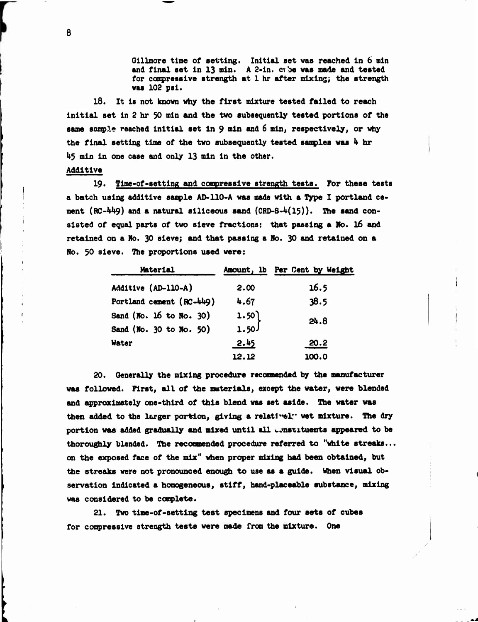**Olllmore time of setting. Initial set was reached In 6 mln and final set In 13 mln. <sup>A</sup> 2-ln. cv"i>e was mads and tested for comprsssive strength at <sup>1</sup> hr after mixing; the strength was 102 psl.**

**18. It Is not known why the first mixture tested failed to reach Initial set In <sup>2</sup> hr <sup>30</sup> mln and the two subsequently tested portions of the same sample reached initial set in 9 nln end <sup>6</sup> mln, respectively, or why the final setting time of the two subsequently tested ssnples was** *<sup>h</sup>* **hr 1\*5 min in one case and only 13 min in the other.**

### **Additive**

**19. Time-of-setting and compressive strength tests. For these tests a batch using additive sample AD-110-A was made with a Type I portland cement (RC-UU9) and a natural siliceous sand (CRD-8-U(15)). The sand consisted of equal parts of two sieve fractions: that passing a No. 16 and retained on a No. 30 sieve; and that passing a Ho. 30 and retained on a No. 30 sieve. The proportions used were:**

| Material                 |       | Amount, 1b Per Cent by Weight |  |  |
|--------------------------|-------|-------------------------------|--|--|
| Additive (AD-110-A)      | 2.00  | 16.5                          |  |  |
| Portland cement (RC-449) | 4.67  | 38.5                          |  |  |
| Sand (No. 16 to No. 30)  | 1.50  | 24.8                          |  |  |
| Sand (No. 30 to No. 50)  | 1.50  |                               |  |  |
| Water                    | 2.45  | 20.2                          |  |  |
|                          | 12.12 | 100.0                         |  |  |

**20. Generally the mixing procedure recoomended by the manufacturer was followed. First, all of the materials, except the water, were blended and approximately one-third of this blend was set aside. The water was then added to the larger portion, giving a relatl"el" wet mixture. The dry portion was added gradually and mixed until all «.onsiituents appeared to be thoroughly blended. The recomnended procedure referred to "white streaks... on the exposed face of the mix" when proper mixing had been obtained, but the streaks were not pronounced enough to use as a guide. When visual observation indicated <sup>a</sup> homogeneous, stiff, hand-placeable substance, mixing was considered to be complete.**

**21. Two time-of-setting test specimens and four sets of cubes for compressive strength tests were made from the mixture. One**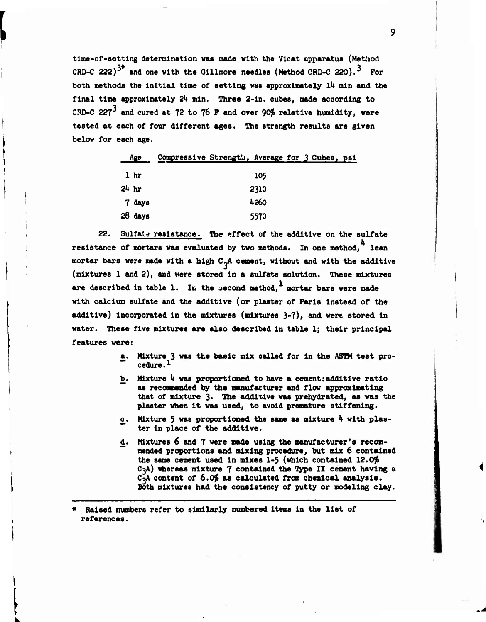**tlme-of-aettlng determination was made with the Vicat apparatus (Method CRD-C** *222y* **and one with the Oillmore needles (Method CRD-C 220). For both methods the Initial time of setting was approximately** *Ik* **min and the final time approximately** *2h min.* **Three 2-in. cubes, made according to CRD-C** *227\** **and cured at 72 to 76 F and over 90\$ relative humidity, were tested at each of four different ages. The strength results are given below for each age.**

|                  | Age       | Compressive Strength, Average for 3 Cubes, psi |      |  |  |
|------------------|-----------|------------------------------------------------|------|--|--|
|                  | 1 hr      |                                                | 105  |  |  |
| 24 <sub>hr</sub> |           |                                                | 2310 |  |  |
|                  | 7 days    |                                                | 4260 |  |  |
|                  | $28$ days |                                                | 5570 |  |  |

**22. Sulfati resistance.The effect of the additive on the sulfate resistance of mortars was evaluated by two methods. In one method, lean mortar bars were made with a high C-A cement, without and with the additive (mixtures 1 and 2), and were stored in a sulfate solution. These mixtures are described in table 1. In the uecond method, mortar bars were made with calcium sulfate and the additive (or plaster of Paris instead of the additive) Incorporated in the mixtures (mixtures 3-7), and were stored In water. These five mixtures are also described in table 1; their principal features were:**

- **a. Mixture <sup>3</sup> was the basic mix called for In the ASTM test procedure.1**
- **b. Mixture** *k* **was proportioned to have a cement:additive ratio " as recoooended by the manufacturer and flow approximating that of mixture 3. The additive was prehydrated, as was the plaster when it was used, to avoid premature stiffening.**
- **£. Mixture <sup>5</sup> vas proportioned the same as mixture** *k* **with plas- " ter in place of the additive.**
- **Mixtures 6 and 7 were made using the manufacturer's recom-**d. **mended proportions and mixing procedure, but mix 6 contained the same cement used In mixes 1-5 (which contained** *12.0\$* **C3A) whereas mixture 7 contained the Type II cement having a CoA content of** *6.0\$* **as calculated from chemical analysis. Both mixtures had the consistency of putty or modeling clay.**

**« Raised numbers refer to similarly numbered items in the list of references.**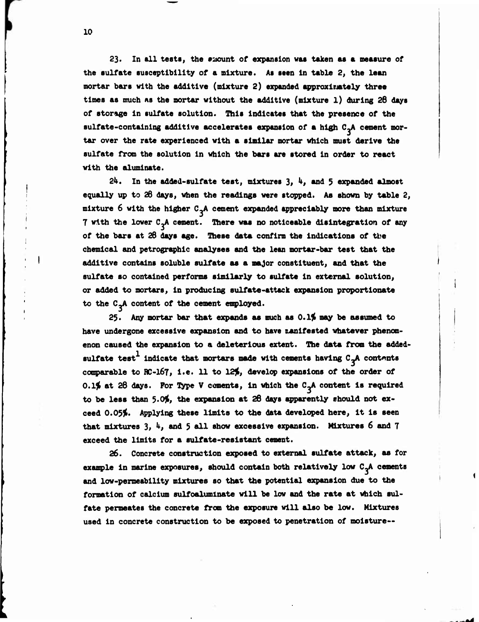**23« In all tests, the eaount of expansion was taken as a measure of the sulfate susceptibility of a mixture. As seen In table** *2,* **the lean mortar bars with the additive (mixture 2) expanded approximtely three times as much as the mortar without the additive (mixture 1) during 28 days of storage in sulfate solution. This indicates that the presence of the sulfate-containing additive accelerates expansion of a high C~A cement mortar over the rate experienced with a similar mortar which must derive the sulfate from the solution in which the bars are stored in order to react with the aluminate.**

*2k.* **In the added-sulfate test, mixtures 3,** *k,* **and <sup>5</sup> expanded almost equally up to 26 days, when the readings were stopped. As shown by table 2, mixture 6 with the higher C.A cement expanded appreciably more than mixture 7 with the lower C-A cement. There was no noticeable disintegration of any of the bars at 28 days age. These data confirm the indications of tbe chemical and petrographic analyses and the lean mortar-bar test that the additive contains soluble sulfate as a major constituent, and that the sulfate so contained performs similarly to sulfate in external solution, or added to mortars, in producing sulfate-attack expansion proportionate to the C-A content of the cement employed.**

**2\$. Any mortar bar that expands as much as 0.1^ may be assumed to** have undergone excessive expansion and to have *ranifested* whatever phenom**enon caused the expansion to a deleterious extent. The data from the addedsulfate test indicate that mortars made with cements having C-A contents comparable to RC-167, i.e. 11 to 12^, develop expansions of the order of** *0.1%* **at 28 days. For Type <sup>V</sup> cements, in which the C~A content is required to be lees than 5.00, the expansion at 26 days apparently should not exceed 0.05\$. Applying these limits to the data developed here, it is seen that mixtures 3,** *k,* **and <sup>5</sup> all show excessive expansion. Mixtures <sup>6</sup> and <sup>7</sup> exceed the limits for a sulfate-resistant cement.**

**26. Concrete construction exposed to external sulfate attack, as for example in marine exposures, should contain both relatively low C~A cements and low-permeability mixtures so that the potential expansion due to the formation of calcium sulfoalumlnate will be low and the rate at which sulfate permeates the concrete from the exposure will also be low. Mixtures used in concrete construction to be exposed to penetration of moisture—**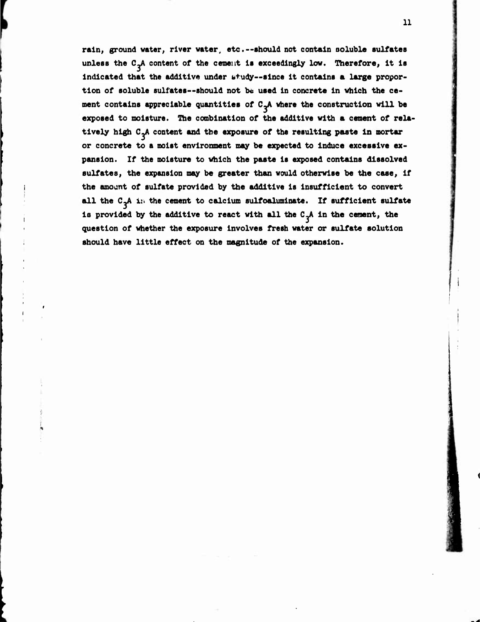**rain, ground water, river water, etc.--should not contain aoluble sulfates unless the CJV content of the cement is exceedingly low. Therefore, it is indicated that the additive under btudy—since it contains a large proportion of soluble sulfates—should not be used in concrete in which the cement contains appreciable quantities of C^A where the construction will be exposed to moisture. The combination of the additive with a cement of relatively high**  $C_2A$  content and the exposure of the resulting paste in mortar **or concrete to a moist environment may be expected to Induce excessive expansion. If the moisture to which the paste is exposed contains dissolved sulfates, the expansion may be greater than would otherwise be the case, If the smoant of sulfate provided by the additive is insufficient to convert all the CJV i:i the cement to calcium sulfoaluminate. If sufficient sulfate** is provided by the additive to react with all the  $C_4$ A in the cement, the **question of whether the exposure involves fresh water or sulfate solution should have little effect on the magnitude of the expansion.**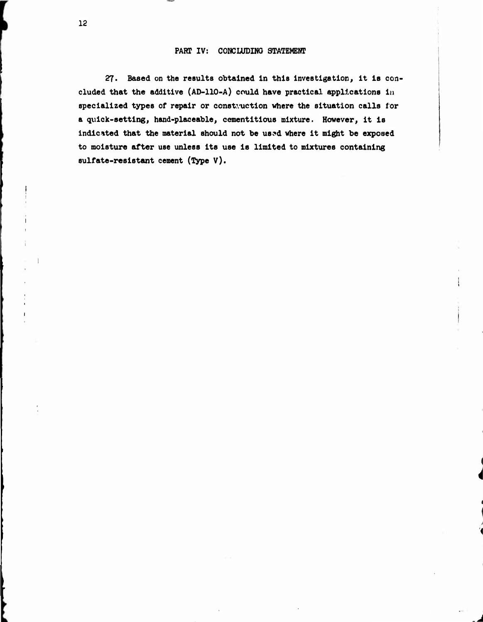## **PART IV: CONCLUDING STATEMENT**

**27. Based on the results obtained In this investigation, it is concluded that the additive (AD-110-A) could have practical applications in specialized types of repair or construction where the situation calls for <sup>a</sup> quick-setting, hand-placeable, cementitious mixture. However, it is indicated that the material should not be us?d where it might be exposed to moisture after use unless its use is limited to mixtures containing sulfate-resistant cement (Type V).**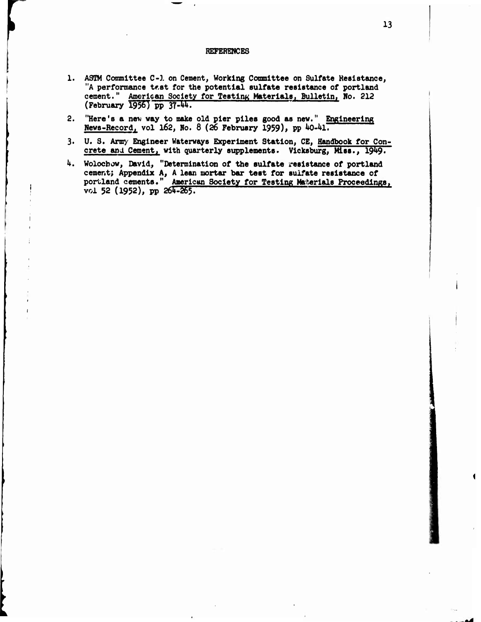#### **REFERENCES**

- **1. ASTM Committee C-l on Cement, Working Committee on Sulfate Resistance, "A performance tr.st for the potential sulfate resistance of portland cement.**" American Society for Testing Materials, Bulletin, No. 212 **(February** 1956) pp 37-44.
- **2. "Here's a nev vay to make old pier piles good as new." Engineering News-Record, vol 162, Mo. 8 (26 February 1959), PP ^-^l.**
- **3. U. S. Army Engineer Waterways Experiment Station, CE, Handbook for Concrete** *end* **Cement, with quarterly supplements. Vlcksburg, Miss., 19^9•**
- *k.* **Wolocbow, David, "Determination of the sulfate resistance of portland cement; Appendix A, <sup>A</sup> lean mortar bar test for sulfate resistance of portland cements." American Society for Testing Materials Proceedings. voi 52 (1952), pp 265^55^**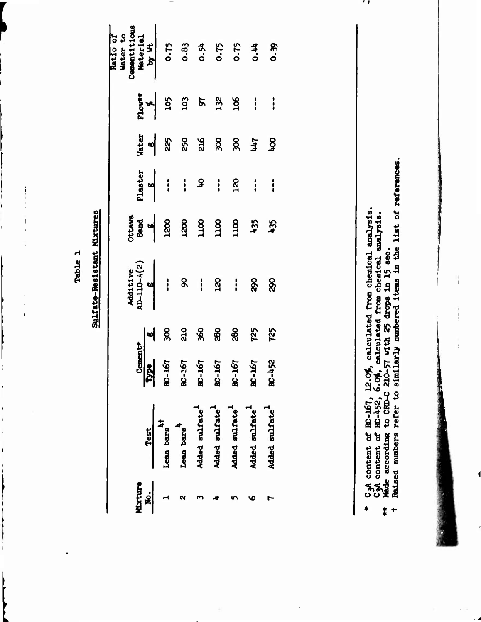Table 1

**[**

 $\frac{1}{2}$ 

 $\ensuremath{\mathsf{I}}$ 

l,

 $\overline{1}$ 

Sulfate-Resistant Mixtures

| Ratio of<br>Centities<br>Centities<br><b>Material</b><br>Centities<br>0.75<br>0.83<br>0.90<br>0.00                                                                                                                                                                                                                                                                      |             |               |                        |                            |                                                                                                                                                                                                                                                                                                           |                            |                                |                            |  |
|-------------------------------------------------------------------------------------------------------------------------------------------------------------------------------------------------------------------------------------------------------------------------------------------------------------------------------------------------------------------------|-------------|---------------|------------------------|----------------------------|-----------------------------------------------------------------------------------------------------------------------------------------------------------------------------------------------------------------------------------------------------------------------------------------------------------|----------------------------|--------------------------------|----------------------------|--|
|                                                                                                                                                                                                                                                                                                                                                                         |             |               |                        |                            |                                                                                                                                                                                                                                                                                                           |                            |                                |                            |  |
|                                                                                                                                                                                                                                                                                                                                                                         |             |               |                        |                            |                                                                                                                                                                                                                                                                                                           |                            |                                |                            |  |
|                                                                                                                                                                                                                                                                                                                                                                         |             |               |                        |                            | $\frac{1}{2}$ = $\frac{1}{2}$ = $\frac{1}{2}$ = $\frac{1}{2}$ = $\frac{1}{2}$ = $\frac{1}{2}$ = $\frac{1}{2}$ = $\frac{1}{2}$ = $\frac{1}{2}$ = $\frac{1}{2}$ = $\frac{1}{2}$ = $\frac{1}{2}$ = $\frac{1}{2}$ = $\frac{1}{2}$ = $\frac{1}{2}$ = $\frac{1}{2}$ = $\frac{1}{2}$ = $\frac{1}{2}$ = $\frac{1$ |                            |                                | $\frac{1}{2}$              |  |
|                                                                                                                                                                                                                                                                                                                                                                         |             |               |                        |                            |                                                                                                                                                                                                                                                                                                           |                            |                                |                            |  |
| $\begin{array}{c ccccc}\n\text{Addting} & & & & \\ \text{Addting} & & & & \\ \hline\n\text{Addting} & & & & \\ \hline\n\text{Addting} & & & & \\ \end{array} \qquad \qquad \begin{array}{c}\n\text{S} & & & & \\ \text{S} & & & & \\ \text{S} & & & & \\ \end{array} \qquad \qquad \begin{array}{c}\n\text{S} & & & \\ \text{S} & & & \\ \text{S} & & & \\ \end{array}$ |             |               |                        |                            |                                                                                                                                                                                                                                                                                                           |                            |                                |                            |  |
|                                                                                                                                                                                                                                                                                                                                                                         |             |               |                        |                            |                                                                                                                                                                                                                                                                                                           |                            | $\frac{1}{2}$ of 8 3 3 8 8 8 2 | 725                        |  |
| Cemer                                                                                                                                                                                                                                                                                                                                                                   | Iype        | <b>191-38</b> | $R - 167$              | <b>RC-167</b>              | <b>PST-28</b>                                                                                                                                                                                                                                                                                             | <b>FSL-387</b>             | <b>L9T-28</b>                  | <b>RC-452</b>              |  |
|                                                                                                                                                                                                                                                                                                                                                                         | <b>Test</b> | Lean bars     | Lean bars <sup>4</sup> | Added sulfate <sup>+</sup> | Added sulfate <sup>1</sup>                                                                                                                                                                                                                                                                                | Added sulfate <sup>+</sup> | Added sulfate <sup>1</sup>     | Added sulfate <sup>+</sup> |  |
| <b>Mixture</b>                                                                                                                                                                                                                                                                                                                                                          | .<br>Si     |               |                        |                            |                                                                                                                                                                                                                                                                                                           |                            |                                |                            |  |

- **Lysis**<br>**Wais.<br>Lat** of **85 a 0 a a jv, .51 VO t-wI I 4-1 O O o o « -o u o z e** $\ddot{\bullet}$ 
	- **•> 1** į
- **Inding**<br>mbers  $\ddot{\phantom{1}}$

**s**